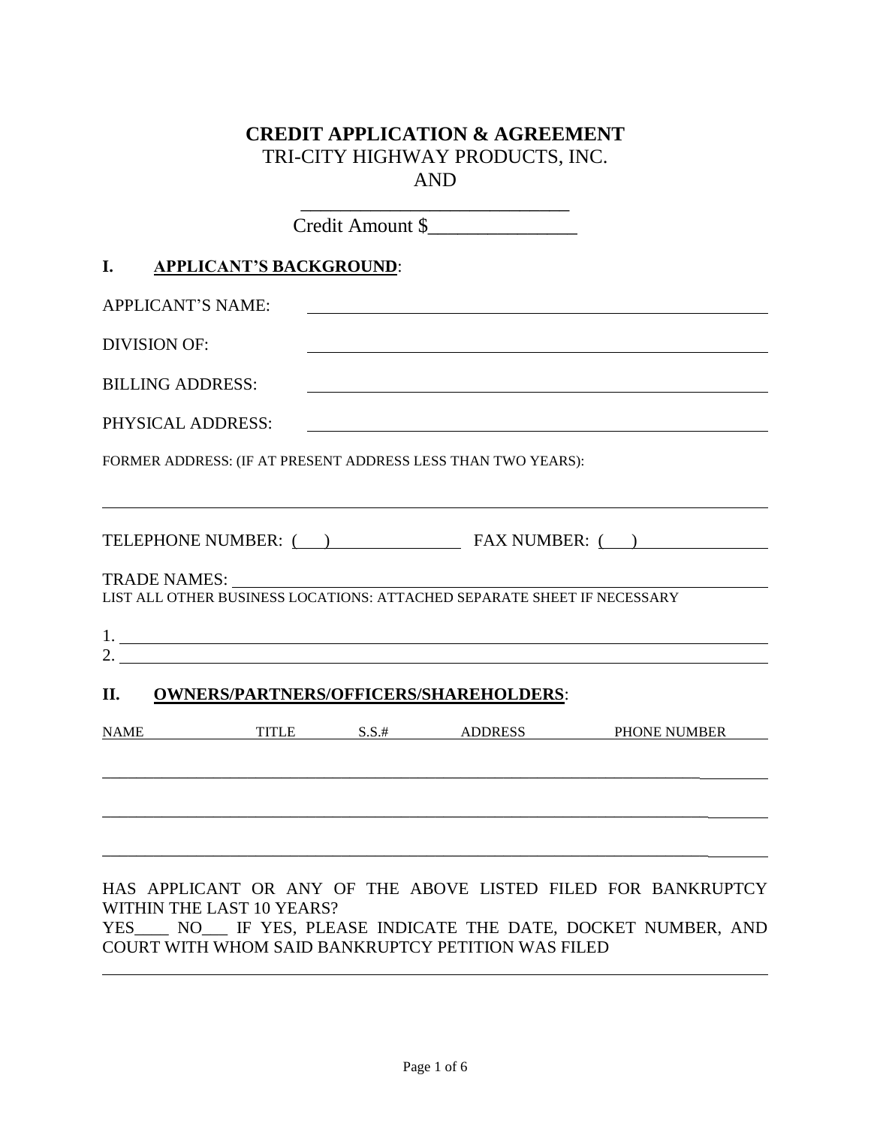# **CREDIT APPLICATION & AGREEMENT** TRI-CITY HIGHWAY PRODUCTS, INC. AND

|                          |                                | Credit Amount \$                                                                                                                                                                                                                                                                                                       |                                                               |
|--------------------------|--------------------------------|------------------------------------------------------------------------------------------------------------------------------------------------------------------------------------------------------------------------------------------------------------------------------------------------------------------------|---------------------------------------------------------------|
| L.                       | <b>APPLICANT'S BACKGROUND:</b> |                                                                                                                                                                                                                                                                                                                        |                                                               |
| <b>APPLICANT'S NAME:</b> |                                |                                                                                                                                                                                                                                                                                                                        |                                                               |
| <b>DIVISION OF:</b>      |                                |                                                                                                                                                                                                                                                                                                                        |                                                               |
| <b>BILLING ADDRESS:</b>  |                                |                                                                                                                                                                                                                                                                                                                        |                                                               |
| PHYSICAL ADDRESS:        |                                |                                                                                                                                                                                                                                                                                                                        |                                                               |
|                          |                                | FORMER ADDRESS: (IF AT PRESENT ADDRESS LESS THAN TWO YEARS):                                                                                                                                                                                                                                                           |                                                               |
|                          |                                |                                                                                                                                                                                                                                                                                                                        |                                                               |
|                          |                                |                                                                                                                                                                                                                                                                                                                        | TELEPHONE NUMBER: ( ) FAX NUMBER: ( )                         |
| <b>TRADE NAMES:</b>      |                                | LIST ALL OTHER BUSINESS LOCATIONS: ATTACHED SEPARATE SHEET IF NECESSARY                                                                                                                                                                                                                                                |                                                               |
|                          |                                |                                                                                                                                                                                                                                                                                                                        |                                                               |
|                          |                                | 2. $\frac{1}{2}$ $\frac{1}{2}$ $\frac{1}{2}$ $\frac{1}{2}$ $\frac{1}{2}$ $\frac{1}{2}$ $\frac{1}{2}$ $\frac{1}{2}$ $\frac{1}{2}$ $\frac{1}{2}$ $\frac{1}{2}$ $\frac{1}{2}$ $\frac{1}{2}$ $\frac{1}{2}$ $\frac{1}{2}$ $\frac{1}{2}$ $\frac{1}{2}$ $\frac{1}{2}$ $\frac{1}{2}$ $\frac{1}{2}$ $\frac{1}{2}$ $\frac{1}{2}$ |                                                               |
| II.                      |                                | <b>OWNERS/PARTNERS/OFFICERS/SHAREHOLDERS:</b>                                                                                                                                                                                                                                                                          |                                                               |
|                          |                                |                                                                                                                                                                                                                                                                                                                        | NAME TITLE S.S.# ADDRESS PHONE NUMBER                         |
|                          |                                |                                                                                                                                                                                                                                                                                                                        |                                                               |
|                          |                                |                                                                                                                                                                                                                                                                                                                        |                                                               |
|                          |                                |                                                                                                                                                                                                                                                                                                                        |                                                               |
|                          |                                |                                                                                                                                                                                                                                                                                                                        | HAS APPLICANT OR ANY OF THE ABOVE LISTED FILED FOR BANKRUPTCY |

YES\_\_\_\_ NO\_\_\_ IF YES, PLEASE INDICATE THE DATE, DOCKET NUMBER, AND COURT WITH WHOM SAID BANKRUPTCY PETITION WAS FILED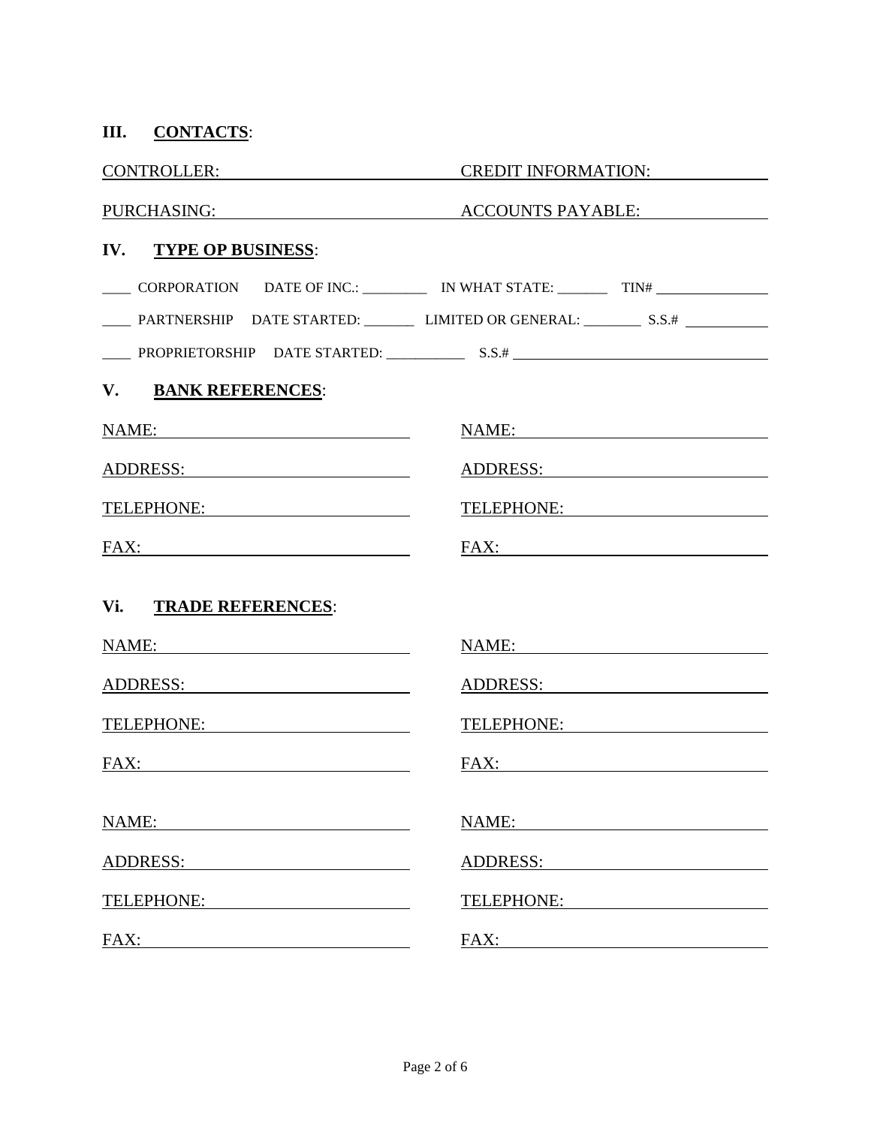| III. CONTACTS:                                                                                                                                                                                                                 |                                                                                                                                                                                                                                |
|--------------------------------------------------------------------------------------------------------------------------------------------------------------------------------------------------------------------------------|--------------------------------------------------------------------------------------------------------------------------------------------------------------------------------------------------------------------------------|
| CONTROLLER:                                                                                                                                                                                                                    | CREDIT INFORMATION:                                                                                                                                                                                                            |
|                                                                                                                                                                                                                                | PURCHASING: ACCOUNTS PAYABLE:                                                                                                                                                                                                  |
| IV. TYPE OP BUSINESS:                                                                                                                                                                                                          |                                                                                                                                                                                                                                |
|                                                                                                                                                                                                                                | ______ CORPORATION DATE OF INC.: ____________ IN WHAT STATE: __________ TIN# _______________________                                                                                                                           |
|                                                                                                                                                                                                                                | PARTNERSHIP DATE STARTED: LIMITED OR GENERAL: ___________ S.S.#                                                                                                                                                                |
|                                                                                                                                                                                                                                |                                                                                                                                                                                                                                |
| V. BANK REFERENCES:                                                                                                                                                                                                            |                                                                                                                                                                                                                                |
| NAME:                                                                                                                                                                                                                          | NAME: NAME:                                                                                                                                                                                                                    |
| ADDRESS:                                                                                                                                                                                                                       | ADDR <u>ESS:</u>                                                                                                                                                                                                               |
| TELEPHONE:                                                                                                                                                                                                                     | TELEPHONE:                                                                                                                                                                                                                     |
|                                                                                                                                                                                                                                |                                                                                                                                                                                                                                |
| Vi. TRADE REFERENCES:                                                                                                                                                                                                          |                                                                                                                                                                                                                                |
| NAME:                                                                                                                                                                                                                          | NAME:                                                                                                                                                                                                                          |
| ADDRESS:                                                                                                                                                                                                                       | ADDRESS:                                                                                                                                                                                                                       |
| TELEPHONE: VERTICAL CONTROLLER PRODUCTION OF THE CONTROLLER PRODUCTION OF THE CONTROLLER PRODUCTION OF THE CONTROLLER PRODUCTION OF THE CONTROLLER PRODUCTION OF THE CONTROLLER PRODUCTION OF THE CONTROLLER PRODUCTION OF THE | TELEPHONE: NAMEL AND TELEPHONE                                                                                                                                                                                                 |
| FAX:                                                                                                                                                                                                                           | FAX:                                                                                                                                                                                                                           |
| NAME:                                                                                                                                                                                                                          | NAME:                                                                                                                                                                                                                          |
| ADDRESS: ADDRESS:                                                                                                                                                                                                              | ADDRESS:                                                                                                                                                                                                                       |
| TELEPHONE:                                                                                                                                                                                                                     | TELEPHONE:                                                                                                                                                                                                                     |
| FAX:                                                                                                                                                                                                                           | FAX: The contract of the contract of the contract of the contract of the contract of the contract of the contract of the contract of the contract of the contract of the contract of the contract of the contract of the contr |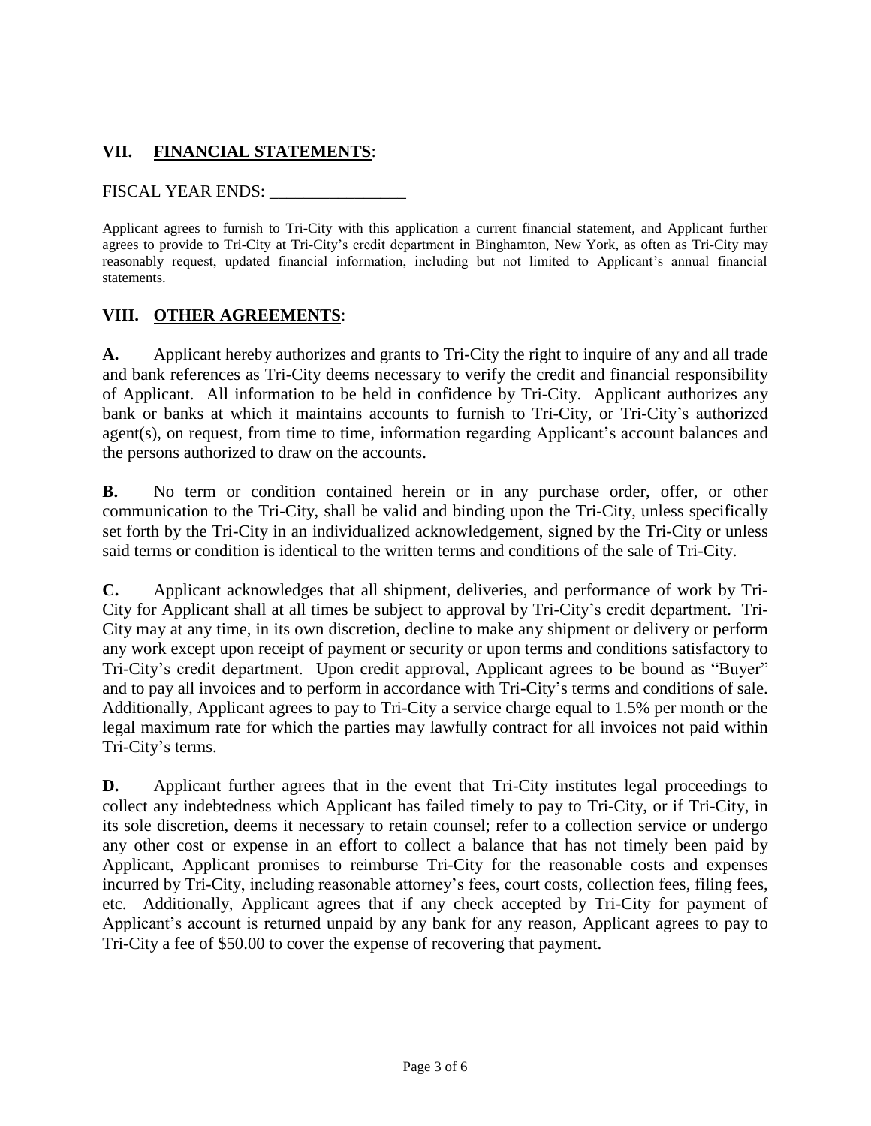## **VII. FINANCIAL STATEMENTS**:

#### FISCAL YEAR ENDS: \_\_\_\_\_\_\_\_\_\_\_\_\_\_\_\_

Applicant agrees to furnish to Tri-City with this application a current financial statement, and Applicant further agrees to provide to Tri-City at Tri-City's credit department in Binghamton, New York, as often as Tri-City may reasonably request, updated financial information, including but not limited to Applicant's annual financial statements.

### **VIII. OTHER AGREEMENTS**:

**A.** Applicant hereby authorizes and grants to Tri-City the right to inquire of any and all trade and bank references as Tri-City deems necessary to verify the credit and financial responsibility of Applicant. All information to be held in confidence by Tri-City. Applicant authorizes any bank or banks at which it maintains accounts to furnish to Tri-City, or Tri-City's authorized agent(s), on request, from time to time, information regarding Applicant's account balances and the persons authorized to draw on the accounts.

**B.** No term or condition contained herein or in any purchase order, offer, or other communication to the Tri-City, shall be valid and binding upon the Tri-City, unless specifically set forth by the Tri-City in an individualized acknowledgement, signed by the Tri-City or unless said terms or condition is identical to the written terms and conditions of the sale of Tri-City.

**C.** Applicant acknowledges that all shipment, deliveries, and performance of work by Tri-City for Applicant shall at all times be subject to approval by Tri-City's credit department. Tri-City may at any time, in its own discretion, decline to make any shipment or delivery or perform any work except upon receipt of payment or security or upon terms and conditions satisfactory to Tri-City's credit department. Upon credit approval, Applicant agrees to be bound as "Buyer" and to pay all invoices and to perform in accordance with Tri-City's terms and conditions of sale. Additionally, Applicant agrees to pay to Tri-City a service charge equal to 1.5% per month or the legal maximum rate for which the parties may lawfully contract for all invoices not paid within Tri-City's terms.

**D.** Applicant further agrees that in the event that Tri-City institutes legal proceedings to collect any indebtedness which Applicant has failed timely to pay to Tri-City, or if Tri-City, in its sole discretion, deems it necessary to retain counsel; refer to a collection service or undergo any other cost or expense in an effort to collect a balance that has not timely been paid by Applicant, Applicant promises to reimburse Tri-City for the reasonable costs and expenses incurred by Tri-City, including reasonable attorney's fees, court costs, collection fees, filing fees, etc. Additionally, Applicant agrees that if any check accepted by Tri-City for payment of Applicant's account is returned unpaid by any bank for any reason, Applicant agrees to pay to Tri-City a fee of \$50.00 to cover the expense of recovering that payment.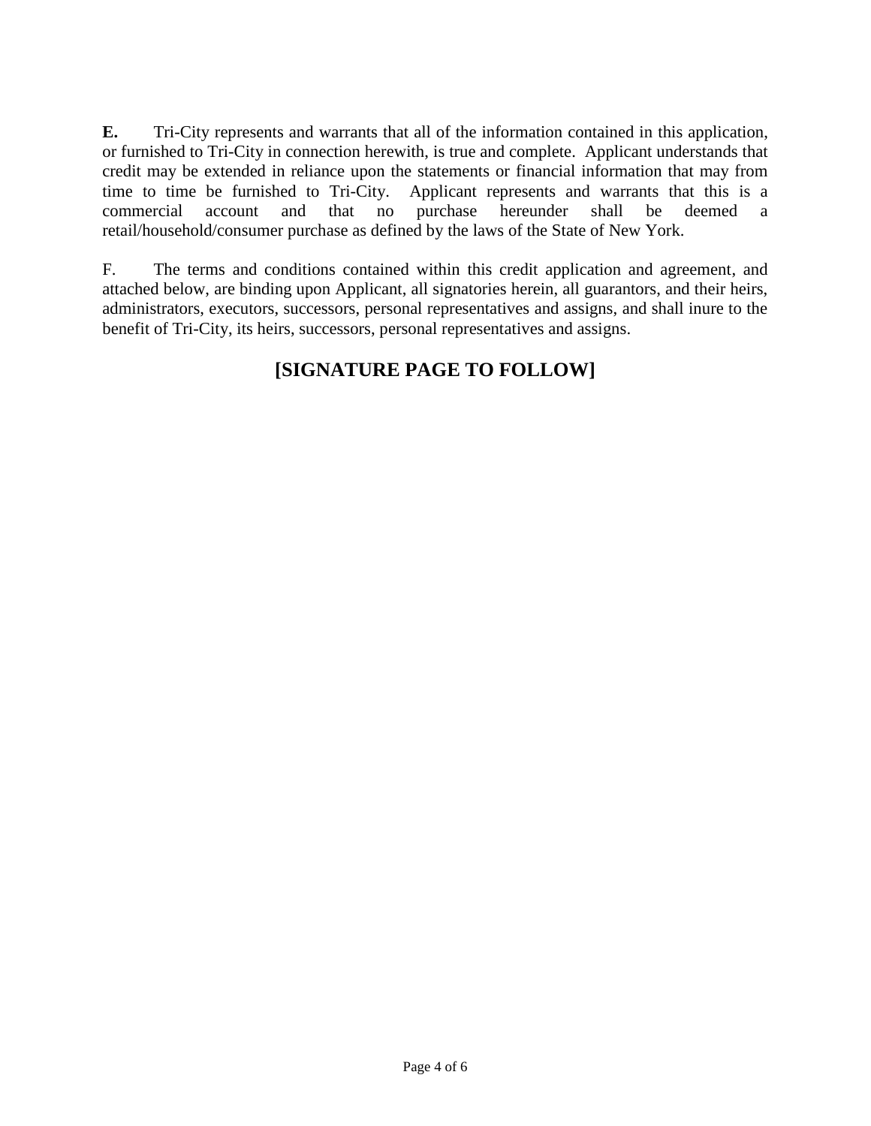**E.** Tri-City represents and warrants that all of the information contained in this application, or furnished to Tri-City in connection herewith, is true and complete. Applicant understands that credit may be extended in reliance upon the statements or financial information that may from time to time be furnished to Tri-City. Applicant represents and warrants that this is a commercial account and that no purchase hereunder shall be deemed a retail/household/consumer purchase as defined by the laws of the State of New York.

F. The terms and conditions contained within this credit application and agreement, and attached below, are binding upon Applicant, all signatories herein, all guarantors, and their heirs, administrators, executors, successors, personal representatives and assigns, and shall inure to the benefit of Tri-City, its heirs, successors, personal representatives and assigns.

# **[SIGNATURE PAGE TO FOLLOW]**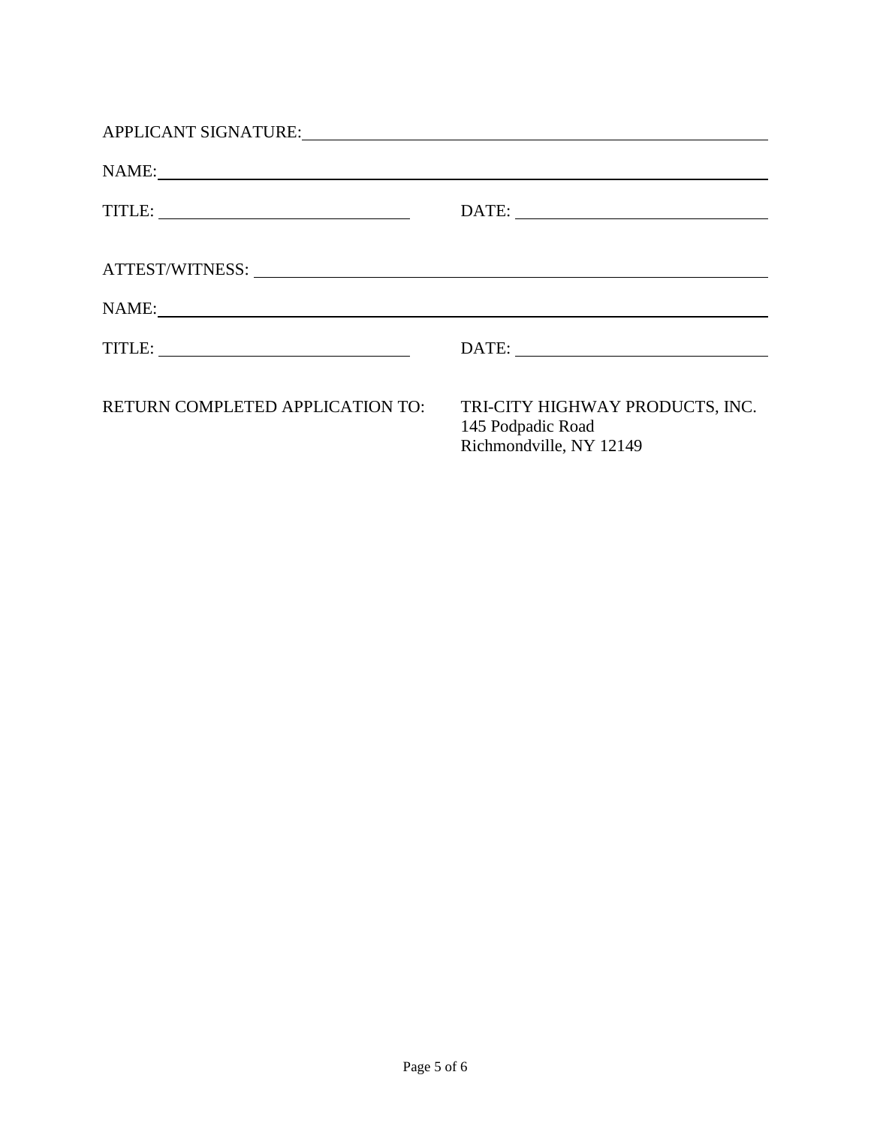| APPLICANT SIGNATURE: University of the set of the set of the set of the set of the set of the set of the set o                                                                                                                                                                                                                                                                                                                                          |                                                                                 |
|---------------------------------------------------------------------------------------------------------------------------------------------------------------------------------------------------------------------------------------------------------------------------------------------------------------------------------------------------------------------------------------------------------------------------------------------------------|---------------------------------------------------------------------------------|
| NAME:                                                                                                                                                                                                                                                                                                                                                                                                                                                   |                                                                                 |
|                                                                                                                                                                                                                                                                                                                                                                                                                                                         |                                                                                 |
| ATTEST/WITNESS: University of the contract of the contract of the contract of the contract of the contract of the contract of the contract of the contract of the contract of the contract of the contract of the contract of                                                                                                                                                                                                                           |                                                                                 |
|                                                                                                                                                                                                                                                                                                                                                                                                                                                         |                                                                                 |
| $\text{TITLE:}\n \begin{tabular}{ c c c c } \hline \multicolumn{3}{ c }{\text{Tr}} & \multicolumn{3}{ c }{\text{Tr}} & \multicolumn{3}{ c }{\text{Tr}} & \multicolumn{3}{ c }{\text{Tr}} & \multicolumn{3}{ c }{\text{Tr}} & \multicolumn{3}{ c }{\text{Tr}} & \multicolumn{3}{ c }{\text{Tr}} & \multicolumn{3}{ c }{\text{Tr}} & \multicolumn{3}{ c }{\text{Tr}} & \multicolumn{3}{ c }{\text{Tr}} & \multicolumn{3}{ c }{\text{Tr}} & \multicolumn{$ |                                                                                 |
| RETURN COMPLETED APPLICATION TO:                                                                                                                                                                                                                                                                                                                                                                                                                        | TRI-CITY HIGHWAY PRODUCTS, INC.<br>145 Podpadic Road<br>Richmondville, NY 12149 |